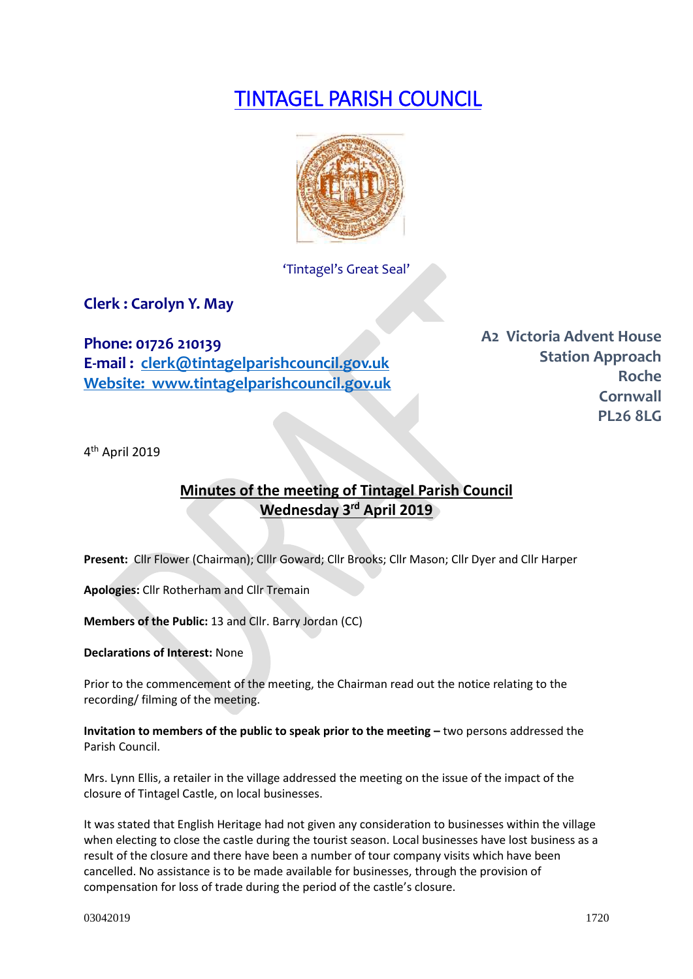# TINTAGEL PARISH COUNCIL



'Tintagel's Great Seal'

**Clerk : Carolyn Y. May**

**Phone: 01726 210139 E-mail : [clerk@tintagelparishcouncil.gov.uk](mailto:clerk@tintagelparishcouncil.gov.uk) Website: www.tintagelparishcouncil.gov.uk** **A2 Victoria Advent House Station Approach Roche Cornwall PL26 8LG**

4 th April 2019

# **Minutes of the meeting of Tintagel Parish Council Wednesday 3 rd April 2019**

**Present:** Cllr Flower (Chairman); Clllr Goward; Cllr Brooks; Cllr Mason; Cllr Dyer and Cllr Harper

**Apologies:** Cllr Rotherham and Cllr Tremain

**Members of the Public:** 13 and Cllr. Barry Jordan (CC)

**Declarations of Interest:** None

Prior to the commencement of the meeting, the Chairman read out the notice relating to the recording/ filming of the meeting.

**Invitation to members of the public to speak prior to the meeting –** two persons addressed the Parish Council.

Mrs. Lynn Ellis, a retailer in the village addressed the meeting on the issue of the impact of the closure of Tintagel Castle, on local businesses.

It was stated that English Heritage had not given any consideration to businesses within the village when electing to close the castle during the tourist season. Local businesses have lost business as a result of the closure and there have been a number of tour company visits which have been cancelled. No assistance is to be made available for businesses, through the provision of compensation for loss of trade during the period of the castle's closure.

03042019 1720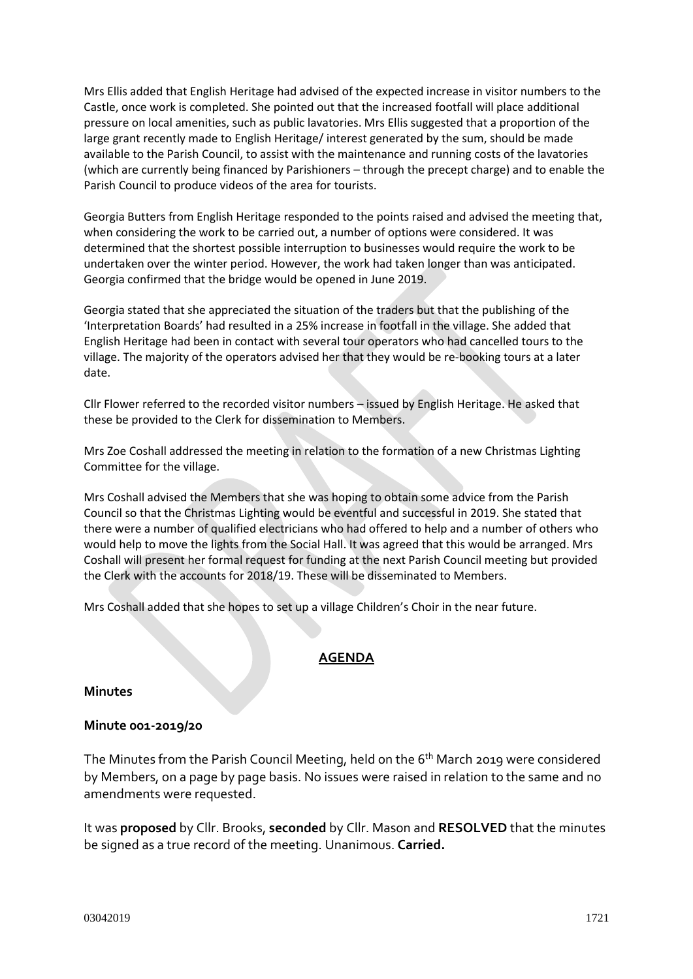Mrs Ellis added that English Heritage had advised of the expected increase in visitor numbers to the Castle, once work is completed. She pointed out that the increased footfall will place additional pressure on local amenities, such as public lavatories. Mrs Ellis suggested that a proportion of the large grant recently made to English Heritage/ interest generated by the sum, should be made available to the Parish Council, to assist with the maintenance and running costs of the lavatories (which are currently being financed by Parishioners – through the precept charge) and to enable the Parish Council to produce videos of the area for tourists.

Georgia Butters from English Heritage responded to the points raised and advised the meeting that, when considering the work to be carried out, a number of options were considered. It was determined that the shortest possible interruption to businesses would require the work to be undertaken over the winter period. However, the work had taken longer than was anticipated. Georgia confirmed that the bridge would be opened in June 2019.

Georgia stated that she appreciated the situation of the traders but that the publishing of the 'Interpretation Boards' had resulted in a 25% increase in footfall in the village. She added that English Heritage had been in contact with several tour operators who had cancelled tours to the village. The majority of the operators advised her that they would be re-booking tours at a later date.

Cllr Flower referred to the recorded visitor numbers – issued by English Heritage. He asked that these be provided to the Clerk for dissemination to Members.

Mrs Zoe Coshall addressed the meeting in relation to the formation of a new Christmas Lighting Committee for the village.

Mrs Coshall advised the Members that she was hoping to obtain some advice from the Parish Council so that the Christmas Lighting would be eventful and successful in 2019. She stated that there were a number of qualified electricians who had offered to help and a number of others who would help to move the lights from the Social Hall. It was agreed that this would be arranged. Mrs Coshall will present her formal request for funding at the next Parish Council meeting but provided the Clerk with the accounts for 2018/19. These will be disseminated to Members.

Mrs Coshall added that she hopes to set up a village Children's Choir in the near future.

# **AGENDA**

#### **Minutes**

#### **Minute 001-2019/20**

The Minutes from the Parish Council Meeting, held on the 6<sup>th</sup> March 2019 were considered by Members, on a page by page basis. No issues were raised in relation to the same and no amendments were requested.

It was **proposed** by Cllr. Brooks, **seconded** by Cllr. Mason and **RESOLVED** that the minutes be signed as a true record of the meeting. Unanimous. **Carried.**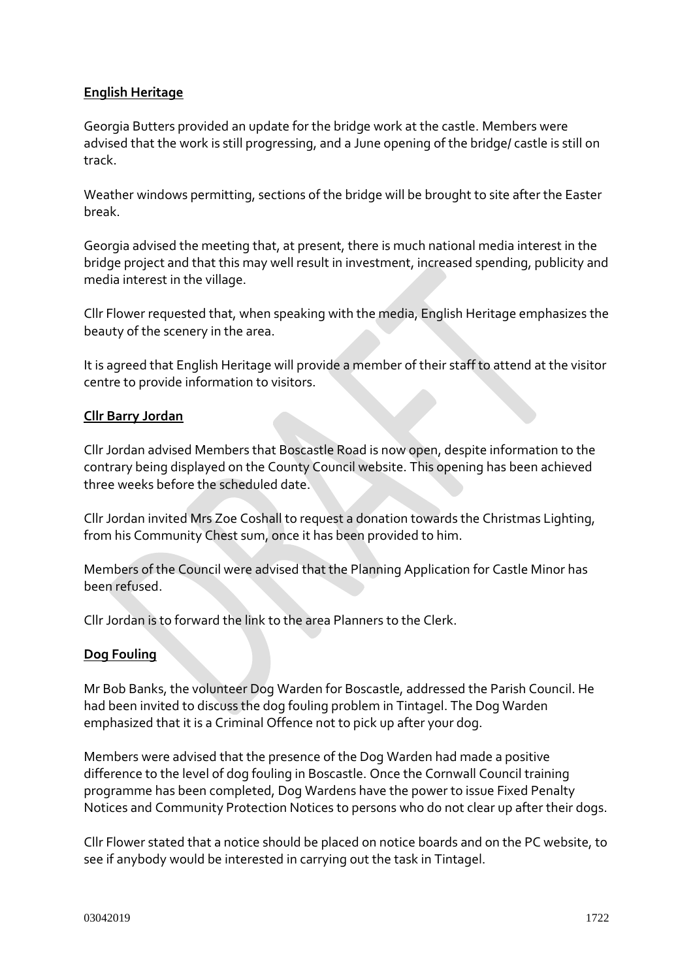# **English Heritage**

Georgia Butters provided an update for the bridge work at the castle. Members were advised that the work is still progressing, and a June opening of the bridge/ castle is still on track.

Weather windows permitting, sections of the bridge will be brought to site after the Easter break.

Georgia advised the meeting that, at present, there is much national media interest in the bridge project and that this may well result in investment, increased spending, publicity and media interest in the village.

Cllr Flower requested that, when speaking with the media, English Heritage emphasizes the beauty of the scenery in the area.

It is agreed that English Heritage will provide a member of their staff to attend at the visitor centre to provide information to visitors.

# **Cllr Barry Jordan**

Cllr Jordan advised Members that Boscastle Road is now open, despite information to the contrary being displayed on the County Council website. This opening has been achieved three weeks before the scheduled date.

Cllr Jordan invited Mrs Zoe Coshall to request a donation towards the Christmas Lighting, from his Community Chest sum, once it has been provided to him.

Members of the Council were advised that the Planning Application for Castle Minor has been refused.

Cllr Jordan is to forward the link to the area Planners to the Clerk.

# **Dog Fouling**

Mr Bob Banks, the volunteer Dog Warden for Boscastle, addressed the Parish Council. He had been invited to discuss the dog fouling problem in Tintagel. The Dog Warden emphasized that it is a Criminal Offence not to pick up after your dog.

Members were advised that the presence of the Dog Warden had made a positive difference to the level of dog fouling in Boscastle. Once the Cornwall Council training programme has been completed, Dog Wardens have the power to issue Fixed Penalty Notices and Community Protection Notices to persons who do not clear up after their dogs.

Cllr Flower stated that a notice should be placed on notice boards and on the PC website, to see if anybody would be interested in carrying out the task in Tintagel.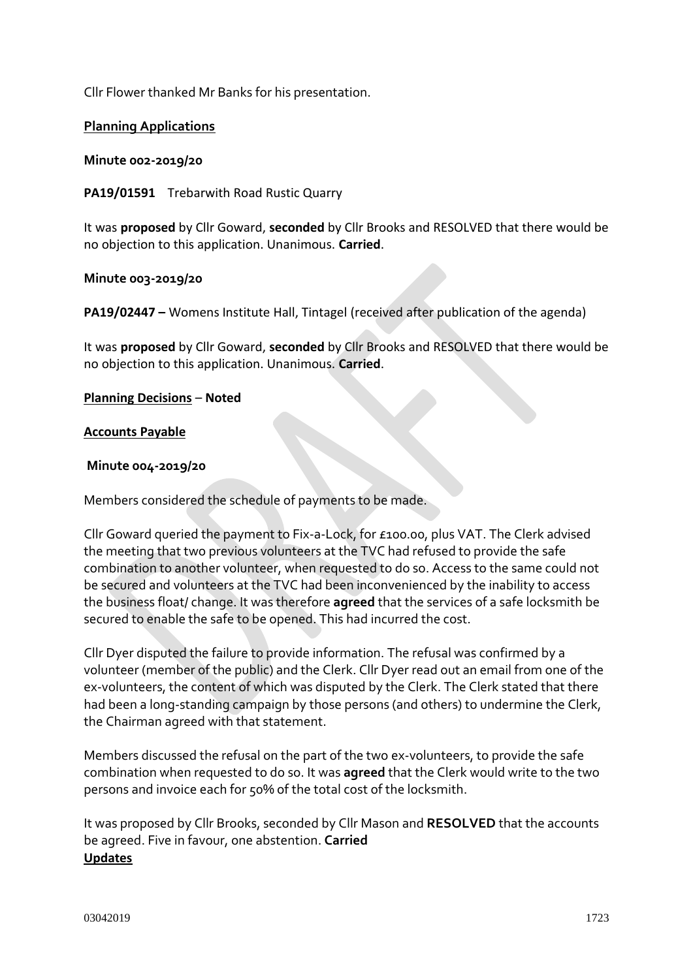Cllr Flower thanked Mr Banks for his presentation.

#### **Planning Applications**

**Minute 002-2019/20**

**PA19/01591** Trebarwith Road Rustic Quarry

It was **proposed** by Cllr Goward, **seconded** by Cllr Brooks and RESOLVED that there would be no objection to this application. Unanimous. **Carried**.

**Minute 003-2019/20**

**PA19/02447 –** Womens Institute Hall, Tintagel (received after publication of the agenda)

It was **proposed** by Cllr Goward, **seconded** by Cllr Brooks and RESOLVED that there would be no objection to this application. Unanimous. **Carried**.

**Planning Decisions** – **Noted**

#### **Accounts Payable**

#### **Minute 004-2019/20**

Members considered the schedule of payments to be made.

Cllr Goward queried the payment to Fix-a-Lock, for £100.00, plus VAT. The Clerk advised the meeting that two previous volunteers at the TVC had refused to provide the safe combination to another volunteer, when requested to do so. Access to the same could not be secured and volunteers at the TVC had been inconvenienced by the inability to access the business float/ change. It was therefore **agreed** that the services of a safe locksmith be secured to enable the safe to be opened. This had incurred the cost.

Cllr Dyer disputed the failure to provide information. The refusal was confirmed by a volunteer (member of the public) and the Clerk. Cllr Dyer read out an email from one of the ex-volunteers, the content of which was disputed by the Clerk. The Clerk stated that there had been a long-standing campaign by those persons (and others) to undermine the Clerk, the Chairman agreed with that statement.

Members discussed the refusal on the part of the two ex-volunteers, to provide the safe combination when requested to do so. It was **agreed** that the Clerk would write to the two persons and invoice each for 50% of the total cost of the locksmith.

It was proposed by Cllr Brooks, seconded by Cllr Mason and **RESOLVED** that the accounts be agreed. Five in favour, one abstention. **Carried Updates**